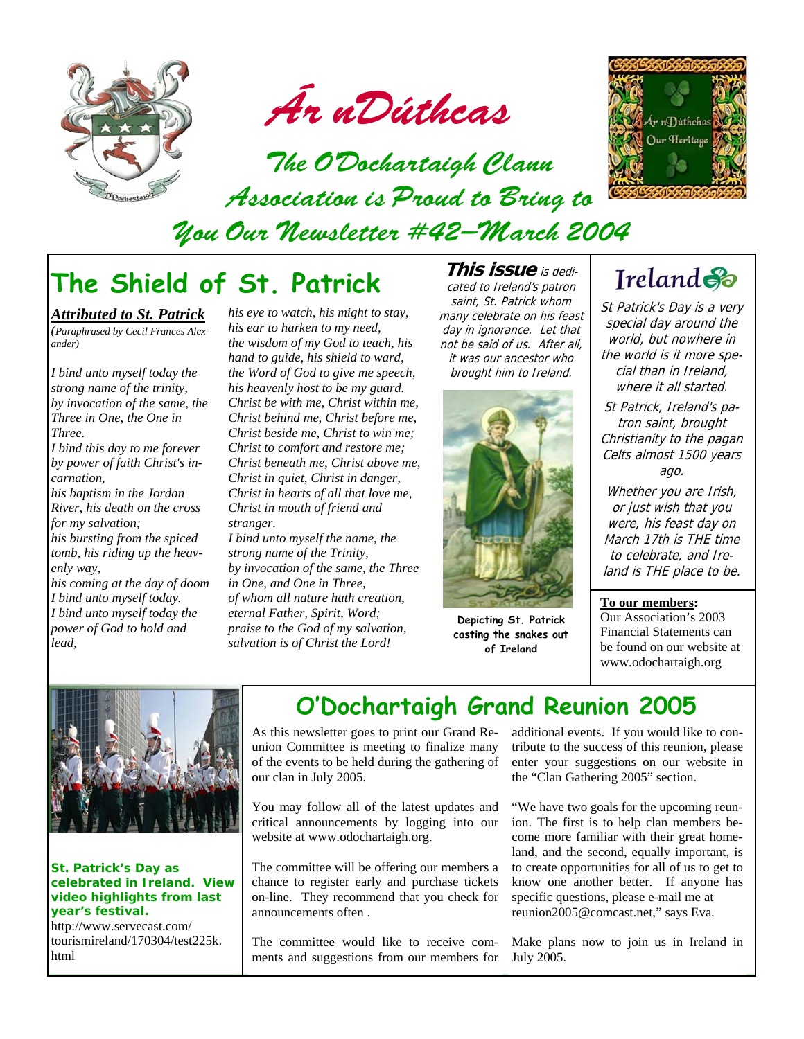



The O'Dochartaigh Clann Association is Proud to Bring to You Our Newsletter #42—March 2004

# **The Shield of St. Patrick**

*Attributed to St. Patrick (Paraphrased by Cecil Frances Alexander)* 

*I bind unto myself today the strong name of the trinity, by invocation of the same, the Three in One, the One in Three. I bind this day to me forever by power of faith Christ's in-*

*carnation, his baptism in the Jordan River, his death on the cross for my salvation; his bursting from the spiced* 

*tomb, his riding up the heavenly way, his coming at the day of doom* 

*I bind unto myself today. I bind unto myself today the power of God to hold and lead,* 

*his eye to watch, his might to stay, his ear to harken to my need, the wisdom of my God to teach, his hand to guide, his shield to ward, the Word of God to give me speech, his heavenly host to be my guard. Christ be with me, Christ within me, Christ behind me, Christ before me, Christ beside me, Christ to win me; Christ to comfort and restore me; Christ beneath me, Christ above me, Christ in quiet, Christ in danger, Christ in hearts of all that love me, Christ in mouth of friend and stranger.* 

*I bind unto myself the name, the strong name of the Trinity, by invocation of the same, the Three in One, and One in Three, of whom all nature hath creation, eternal Father, Spirit, Word; praise to the God of my salvation, salvation is of Christ the Lord!* 

**This issue** is dedicated to Ireland's patron saint, St. Patrick whom many celebrate on his feast day in ignorance. Let that not be said of us. After all, it was our ancestor who brought him to Ireland.



**Depicting St. Patrick casting the snakes out of Ireland** 



## Ireland<sub>S</sub>

St Patrick's Day is a very special day around the world, but nowhere in the world is it more special than in Ireland, where it all started.

St Patrick, Ireland's patron saint, brought Christianity to the pagan Celts almost 1500 years ago.

Whether you are Irish, or just wish that you were, his feast day on March 17th is THE time to celebrate, and Ireland is THE place to be.

### **To our members:**

Our Association's 2003 Financial Statements can be found on our website at www.odochartaigh.org



**St. Patrick's Day as celebrated in Ireland. View video highlights from last year's festival.** 

http://www.servecast.com/ tourismireland/170304/test225k. html

## **O'Dochartaigh Grand Reunion 2005**

As this newsletter goes to print our Grand Reunion Committee is meeting to finalize many of the events to be held during the gathering of our clan in July 2005.

You may follow all of the latest updates and critical announcements by logging into our website at www.odochartaigh.org.

The committee will be offering our members a chance to register early and purchase tickets on-line. They recommend that you check for announcements often .

The committee would like to receive comments and suggestions from our members for additional events. If you would like to contribute to the success of this reunion, please enter your suggestions on our website in the "Clan Gathering 2005" section.

"We have two goals for the upcoming reunion. The first is to help clan members become more familiar with their great homeland, and the second, equally important, is to create opportunities for all of us to get to know one another better. If anyone has specific questions, please e-mail me at reunion2005@comcast.net," says Eva.

Make plans now to join us in Ireland in July 2005.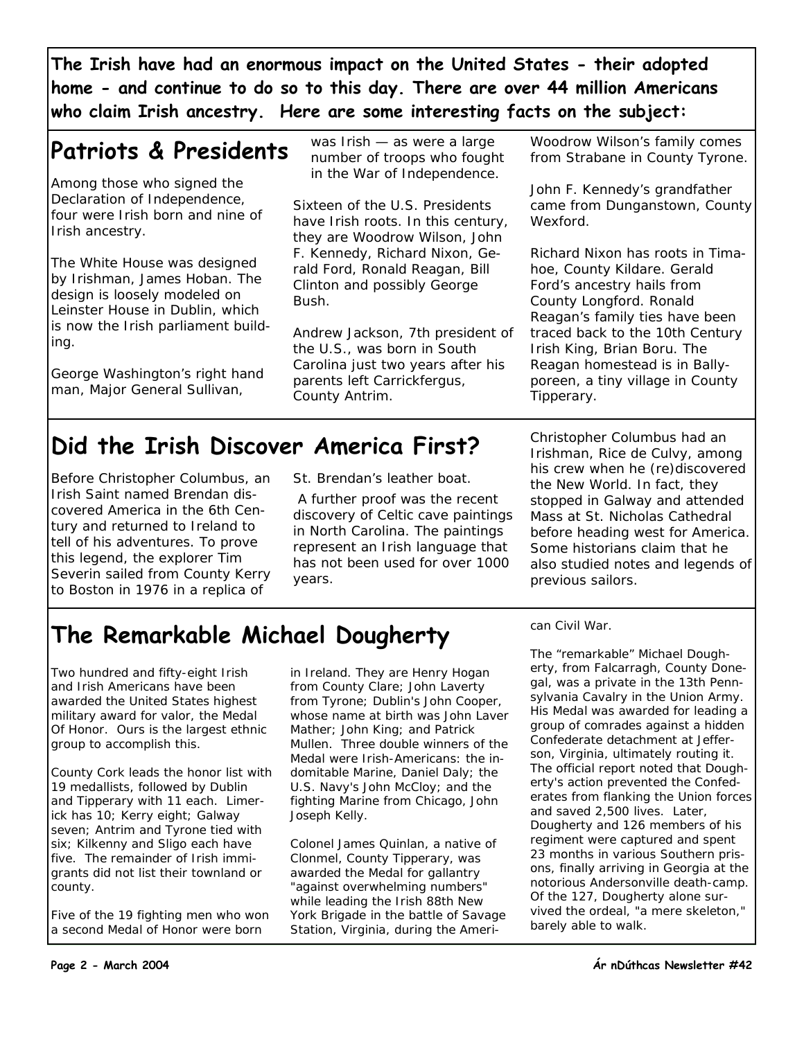**The Irish have had an enormous impact on the United States - their adopted home - and continue to do so to this day. There are over 44 million Americans who claim Irish ancestry. Here are some interesting facts on the subject:** 

## **Patriots & Presidents**

Among those who signed the Declaration of Independence, four were Irish born and nine of Irish ancestry.

The White House was designed by Irishman, James Hoban. The design is loosely modeled on Leinster House in Dublin, which is now the Irish parliament building.

George Washington's right hand man, Major General Sullivan,

was Irish — as were a large number of troops who fought in the War of Independence.

Sixteen of the U.S. Presidents have Irish roots. In this century, they are Woodrow Wilson, John F. Kennedy, Richard Nixon, Gerald Ford, Ronald Reagan, Bill Clinton and possibly George Bush.

Andrew Jackson, 7th president of the U.S., was born in South Carolina just two years after his parents left Carrickfergus, County Antrim.

Woodrow Wilson's family comes from Strabane in County Tyrone.

John F. Kennedy's grandfather came from Dunganstown, County Wexford.

Richard Nixon has roots in Timahoe, County Kildare. Gerald Ford's ancestry hails from County Longford. Ronald Reagan's family ties have been traced back to the 10th Century Irish King, Brian Boru. The Reagan homestead is in Ballyporeen, a tiny village in County Tipperary.

## **Did the Irish Discover America First?**

Before Christopher Columbus, an Irish Saint named Brendan discovered America in the 6th Century and returned to Ireland to tell of his adventures. To prove this legend, the explorer Tim Severin sailed from County Kerry to Boston in 1976 in a replica of

St. Brendan's leather boat.

 A further proof was the recent discovery of Celtic cave paintings in North Carolina. The paintings represent an Irish language that has not been used for over 1000 years.

Christopher Columbus had an Irishman, Rice de Culvy, among his crew when he (re)discovered the New World. In fact, they stopped in Galway and attended Mass at St. Nicholas Cathedral before heading west for America. Some historians claim that he also studied notes and legends of previous sailors.

## **The Remarkable Michael Dougherty**

Two hundred and fifty-eight Irish and Irish Americans have been awarded the United States highest military award for valor, the Medal Of Honor. Ours is the largest ethnic group to accomplish this.

County Cork leads the honor list with 19 medallists, followed by Dublin and Tipperary with 11 each. Limerick has 10; Kerry eight; Galway seven; Antrim and Tyrone tied with six; Kilkenny and Sligo each have five. The remainder of Irish immigrants did not list their townland or county.

Five of the 19 fighting men who won a second Medal of Honor were born

in Ireland. They are Henry Hogan from County Clare; John Laverty from Tyrone; Dublin's John Cooper, whose name at birth was John Laver Mather; John King; and Patrick Mullen. Three double winners of the Medal were Irish-Americans: the indomitable Marine, Daniel Daly; the U.S. Navy's John McCloy; and the fighting Marine from Chicago, John Joseph Kelly.

Colonel James Quinlan, a native of Clonmel, County Tipperary, was awarded the Medal for gallantry "against overwhelming numbers" while leading the Irish 88th New York Brigade in the battle of Savage Station, Virginia, during the American Civil War.

The "remarkable" Michael Dougherty, from Falcarragh, County Donegal, was a private in the 13th Pennsylvania Cavalry in the Union Army. His Medal was awarded for leading a group of comrades against a hidden Confederate detachment at Jefferson, Virginia, ultimately routing it. The official report noted that Dougherty's action prevented the Confederates from flanking the Union forces and saved 2,500 lives. Later, Dougherty and 126 members of his regiment were captured and spent 23 months in various Southern prisons, finally arriving in Georgia at the notorious Andersonville death-camp. Of the 127, Dougherty alone survived the ordeal, "a mere skeleton," barely able to walk.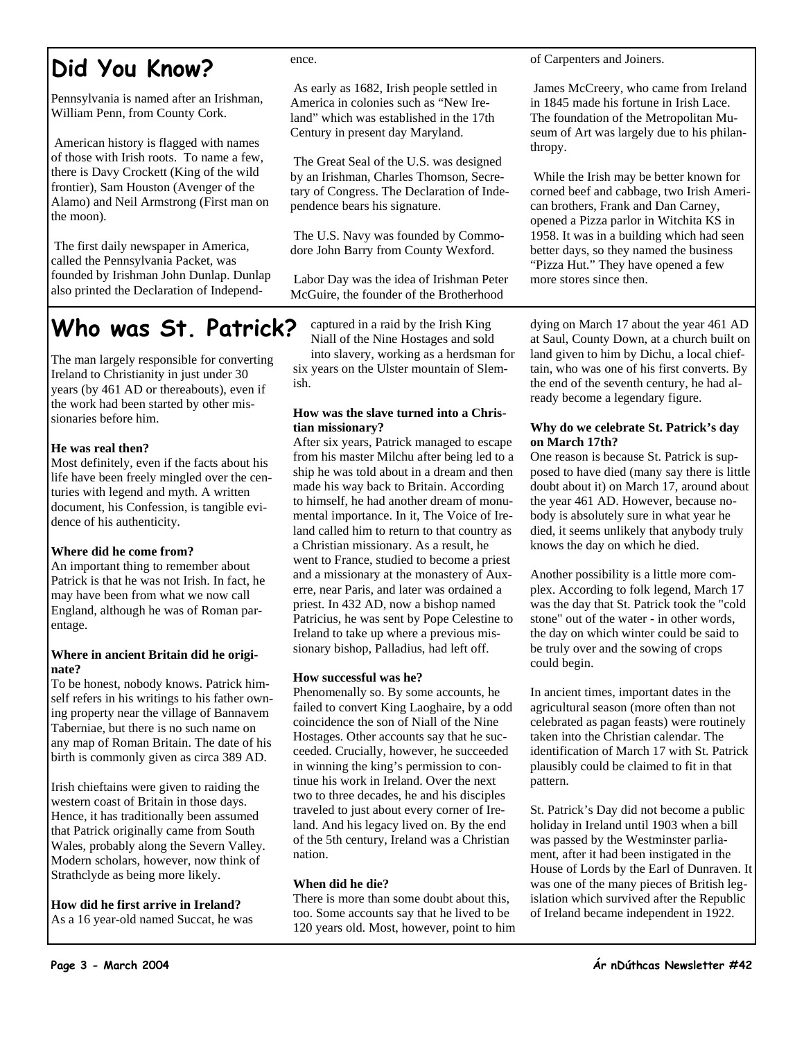## **Did You Know?**

Pennsylvania is named after an Irishman, William Penn, from County Cork.

 American history is flagged with names of those with Irish roots. To name a few, there is Davy Crockett (King of the wild frontier), Sam Houston (Avenger of the Alamo) and Neil Armstrong (First man on the moon).

 The first daily newspaper in America, called the Pennsylvania Packet, was founded by Irishman John Dunlap. Dunlap also printed the Declaration of Independ-

## **Who was St. Patrick?**

The man largely responsible for converting Ireland to Christianity in just under 30 years (by 461 AD or thereabouts), even if the work had been started by other missionaries before him.

### **He was real then?**

Most definitely, even if the facts about his life have been freely mingled over the centuries with legend and myth. A written document, his Confession, is tangible evidence of his authenticity.

### **Where did he come from?**

An important thing to remember about Patrick is that he was not Irish. In fact, he may have been from what we now call England, although he was of Roman parentage.

#### **Where in ancient Britain did he originate?**

To be honest, nobody knows. Patrick himself refers in his writings to his father owning property near the village of Bannavem Taberniae, but there is no such name on any map of Roman Britain. The date of his birth is commonly given as circa 389 AD.

Irish chieftains were given to raiding the western coast of Britain in those days. Hence, it has traditionally been assumed that Patrick originally came from South Wales, probably along the Severn Valley. Modern scholars, however, now think of Strathclyde as being more likely.

### **How did he first arrive in Ireland?**

As a 16 year-old named Succat, he was

ence.

 As early as 1682, Irish people settled in America in colonies such as "New Ireland" which was established in the 17th Century in present day Maryland.

 The Great Seal of the U.S. was designed by an Irishman, Charles Thomson, Secretary of Congress. The Declaration of Independence bears his signature.

 The U.S. Navy was founded by Commodore John Barry from County Wexford.

 Labor Day was the idea of Irishman Peter McGuire, the founder of the Brotherhood

captured in a raid by the Irish King Niall of the Nine Hostages and sold

into slavery, working as a herdsman for six years on the Ulster mountain of Slemish.

#### **How was the slave turned into a Christian missionary?**

After six years, Patrick managed to escape from his master Milchu after being led to a ship he was told about in a dream and then made his way back to Britain. According to himself, he had another dream of monumental importance. In it, The Voice of Ireland called him to return to that country as a Christian missionary. As a result, he went to France, studied to become a priest and a missionary at the monastery of Auxerre, near Paris, and later was ordained a priest. In 432 AD, now a bishop named Patricius, he was sent by Pope Celestine to Ireland to take up where a previous missionary bishop, Palladius, had left off.

### **How successful was he?**

Phenomenally so. By some accounts, he failed to convert King Laoghaire, by a odd coincidence the son of Niall of the Nine Hostages. Other accounts say that he succeeded. Crucially, however, he succeeded in winning the king's permission to continue his work in Ireland. Over the next two to three decades, he and his disciples traveled to just about every corner of Ireland. And his legacy lived on. By the end of the 5th century, Ireland was a Christian nation.

### **When did he die?**

There is more than some doubt about this, too. Some accounts say that he lived to be 120 years old. Most, however, point to him of Carpenters and Joiners.

 James McCreery, who came from Ireland in 1845 made his fortune in Irish Lace. The foundation of the Metropolitan Museum of Art was largely due to his philanthropy.

 While the Irish may be better known for corned beef and cabbage, two Irish American brothers, Frank and Dan Carney, opened a Pizza parlor in Witchita KS in 1958. It was in a building which had seen better days, so they named the business "Pizza Hut." They have opened a few more stores since then.

dying on March 17 about the year 461 AD at Saul, County Down, at a church built on land given to him by Dichu, a local chieftain, who was one of his first converts. By the end of the seventh century, he had already become a legendary figure.

#### **Why do we celebrate St. Patrick's day on March 17th?**

One reason is because St. Patrick is supposed to have died (many say there is little doubt about it) on March 17, around about the year 461 AD. However, because nobody is absolutely sure in what year he died, it seems unlikely that anybody truly knows the day on which he died.

Another possibility is a little more complex. According to folk legend, March 17 was the day that St. Patrick took the "cold stone" out of the water - in other words, the day on which winter could be said to be truly over and the sowing of crops could begin.

In ancient times, important dates in the agricultural season (more often than not celebrated as pagan feasts) were routinely taken into the Christian calendar. The identification of March 17 with St. Patrick plausibly could be claimed to fit in that pattern.

St. Patrick's Day did not become a public holiday in Ireland until 1903 when a bill was passed by the Westminster parliament, after it had been instigated in the House of Lords by the Earl of Dunraven. It was one of the many pieces of British legislation which survived after the Republic of Ireland became independent in 1922.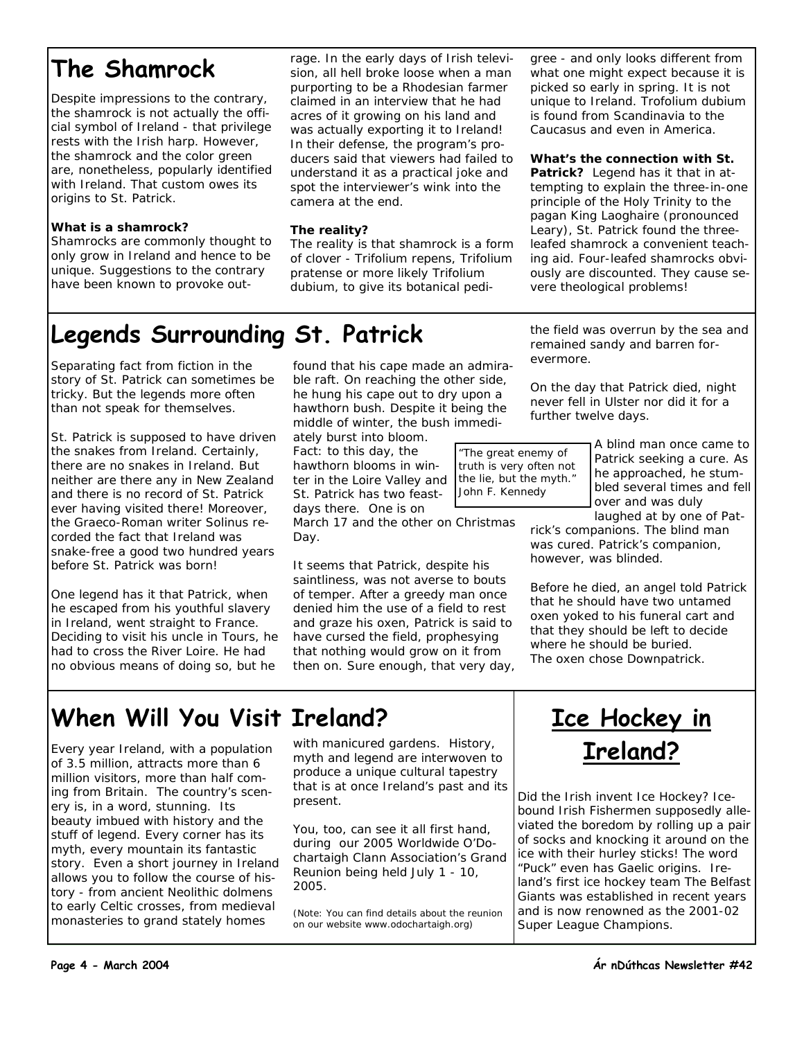## **The Shamrock**

Despite impressions to the contrary, the shamrock is not actually the official symbol of Ireland - that privilege rests with the Irish harp. However, the shamrock and the color green are, nonetheless, popularly identified with Ireland. That custom owes its origins to St. Patrick.

### **What is a shamrock?**

Shamrocks are commonly thought to only grow in Ireland and hence to be unique. Suggestions to the contrary have been known to provoke outrage. In the early days of Irish television, all hell broke loose when a man purporting to be a Rhodesian farmer claimed in an interview that he had acres of it growing on his land and was actually exporting it to Ireland! In their defense, the program's producers said that viewers had failed to understand it as a practical joke and spot the interviewer's wink into the camera at the end.

### **The reality?**

The reality is that shamrock is a form of clover - Trifolium repens, Trifolium pratense or more likely Trifolium dubium, to give its botanical pedigree - and only looks different from what one might expect because it is picked so early in spring. It is not unique to Ireland. Trofolium dubium is found from Scandinavia to the Caucasus and even in America.

**What's the connection with St.** 

**Patrick?** Legend has it that in attempting to explain the three-in-one principle of the Holy Trinity to the pagan King Laoghaire (pronounced Leary), St. Patrick found the threeleafed shamrock a convenient teaching aid. Four-leafed shamrocks obviously are discounted. They cause severe theological problems!

## **Legends Surrounding St. Patrick**

Separating fact from fiction in the story of St. Patrick can sometimes be tricky. But the legends more often than not speak for themselves.

St. Patrick is supposed to have driven the snakes from Ireland. Certainly, there are no snakes in Ireland. But neither are there any in New Zealand and there is no record of St. Patrick ever having visited there! Moreover, the Graeco-Roman writer Solinus recorded the fact that Ireland was snake-free a good two hundred years before St. Patrick was born!

One legend has it that Patrick, when he escaped from his youthful slavery in Ireland, went straight to France. Deciding to visit his uncle in Tours, he had to cross the River Loire. He had no obvious means of doing so, but he

found that his cape made an admirable raft. On reaching the other side, he hung his cape out to dry upon a hawthorn bush. Despite it being the middle of winter, the bush immedi-

ately burst into bloom. Fact: to this day, the hawthorn blooms in winter in the Loire Valley and St. Patrick has two feastdays there. One is on

March 17 and the other on Christmas Day.

It seems that Patrick, despite his saintliness, was not averse to bouts of temper. After a greedy man once denied him the use of a field to rest and graze his oxen, Patrick is said to have cursed the field, prophesying that nothing would grow on it from then on. Sure enough, that very day, the field was overrun by the sea and remained sandy and barren forevermore.

On the day that Patrick died, night never fell in Ulster nor did it for a further twelve days.

*"The great enemy of truth is very often not the lie, but the myth."*  John F. Kennedy

A blind man once came to Patrick seeking a cure. As he approached, he stumbled several times and fell over and was duly

laughed at by one of Patrick's companions. The blind man was cured. Patrick's companion, however, was blinded.

Before he died, an angel told Patrick that he should have two untamed oxen yoked to his funeral cart and that they should be left to decide where he should be buried. The oxen chose Downpatrick.

## **When Will You Visit Ireland?** | Ice Hockey in

Every year Ireland, with a population of 3.5 million, attracts more than 6 million visitors, more than half coming from Britain. The country's scenery is, in a word, stunning. Its beauty imbued with history and the stuff of legend. Every corner has its myth, every mountain its fantastic story. Even a short journey in Ireland allows you to follow the course of history - from ancient Neolithic dolmens to early Celtic crosses, from medieval monasteries to grand stately homes

with manicured gardens. History, myth and legend are interwoven to produce a unique cultural tapestry that is at once Ireland's past and its present.

You, too, can see it all first hand, during our 2005 Worldwide O'Dochartaigh Clann Association's Grand Reunion being held July 1 - 10, 2005.

(Note: You can find details about the reunion on our website www.odochartaigh.org)



Did the Irish invent Ice Hockey? Icebound Irish Fishermen supposedly alleviated the boredom by rolling up a pair of socks and knocking it around on the ice with their hurley sticks! The word "Puck" even has Gaelic origins. Ireland's first ice hockey team The Belfast Giants was established in recent years and is now renowned as the 2001-02 Super League Champions.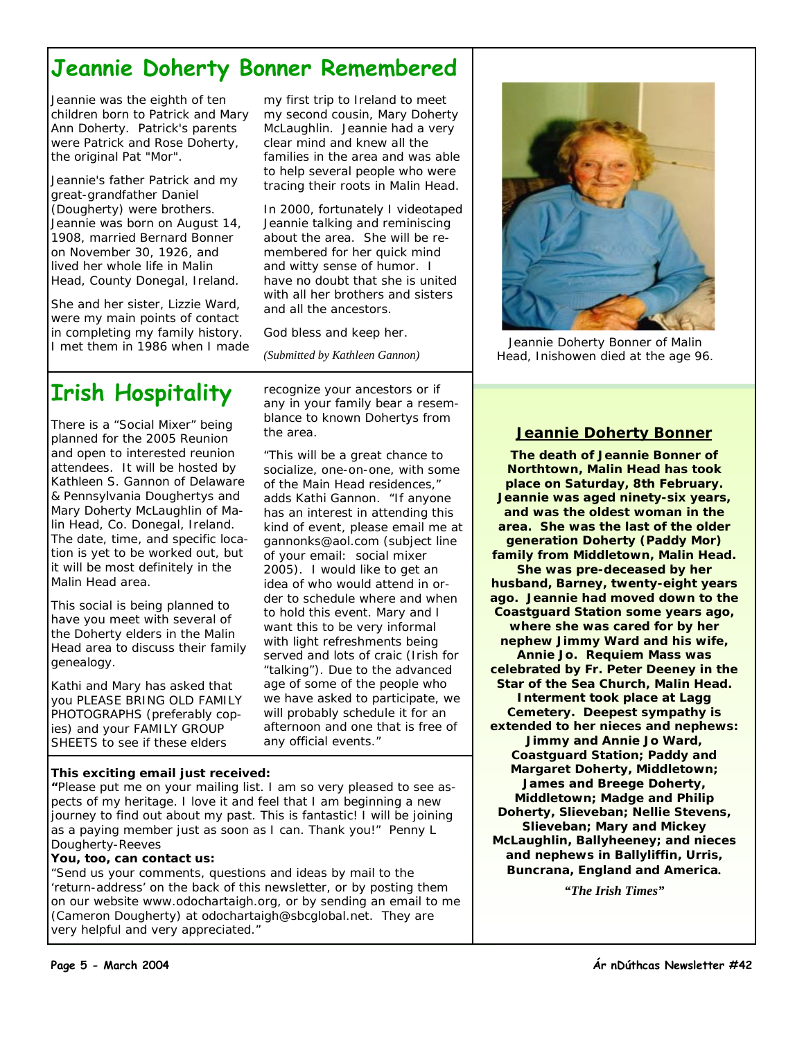### **Jeannie Doherty Bonner Remembered**

recognize your ancestors or if any in your family bear a resemblance to known Dohertys from

and all the ancestors. God bless and keep her. *(Submitted by Kathleen Gannon)*

my first trip to Ireland to meet my second cousin, Mary Doherty McLaughlin. Jeannie had a very clear mind and knew all the families in the area and was able to help several people who were tracing their roots in Malin Head. In 2000, fortunately I videotaped Jeannie talking and reminiscing about the area. She will be remembered for her quick mind and witty sense of humor. I have no doubt that she is united with all her brothers and sisters

"This will be a great chance to socialize, one-on-one, with some of the Main Head residences," adds Kathi Gannon. "If anyone has an interest in attending this kind of event, please email me at gannonks@aol.com (subject line of your email: social mixer 2005). I would like to get an idea of who would attend in order to schedule where and when to hold this event. Mary and I want this to be very informal with light refreshments being served and lots of craic (Irish for "talking"). Due to the advanced age of some of the people who we have asked to participate, we will probably schedule it for an afternoon and one that is free of

the area.

Jeannie was the eighth of ten children born to Patrick and Mary Ann Doherty. Patrick's parents were Patrick and Rose Doherty, the original Pat "Mor".

Jeannie's father Patrick and my great-grandfather Daniel (Dougherty) were brothers. Jeannie was born on August 14, 1908, married Bernard Bonner on November 30, 1926, and lived her whole life in Malin Head, County Donegal, Ireland.

She and her sister, Lizzie Ward, were my main points of contact in completing my family history. I met them in 1986 when I made

**Irish Hospitality** 

There is a "Social Mixer" being planned for the 2005 Reunion and open to interested reunion attendees. It will be hosted by Kathleen S. Gannon of Delaware & Pennsylvania Doughertys and Mary Doherty McLaughlin of Malin Head, Co. Donegal, Ireland. The date, time, and specific location is yet to be worked out, but it will be most definitely in the Malin Head area.

This social is being planned to have you meet with several of the Doherty elders in the Malin Head area to discuss their family genealogy.

Kathi and Mary has asked that you PLEASE BRING OLD FAMILY PHOTOGRAPHS (preferably copies) and your FAMILY GROUP SHEETS to see if these elders

**This exciting email just received:** 

*"Please put me on your mailing list. I am so very pleased to see aspects of my heritage. I love it and feel that I am beginning a new journey to find out about my past. This is fantastic! I will be joining as a paying member just as soon as I can. Thank you!"* Penny L Dougherty-Reeves

any official events."

#### **You, too, can contact us:**

*"Send us your comments, questions and ideas by mail to the 'return-address' on the back of this newsletter, or by posting them on our website www.odochartaigh.org, or by sending an email to me (Cameron Dougherty) at odochartaigh@sbcglobal.net. They are very helpful and very appreciated."*



Jeannie Doherty Bonner of Malin Head, Inishowen died at the age 96.

### *Jeannie Doherty Bonner*

*The death of Jeannie Bonner of Northtown, Malin Head has took place on Saturday, 8th February. Jeannie was aged ninety-six years, and was the oldest woman in the area. She was the last of the older generation Doherty (Paddy Mor) family from Middletown, Malin Head. She was pre-deceased by her husband, Barney, twenty-eight years ago. Jeannie had moved down to the Coastguard Station some years ago, where she was cared for by her nephew Jimmy Ward and his wife, Annie Jo. Requiem Mass was celebrated by Fr. Peter Deeney in the Star of the Sea Church, Malin Head. Interment took place at Lagg Cemetery. Deepest sympathy is extended to her nieces and nephews: Jimmy and Annie Jo Ward, Coastguard Station; Paddy and Margaret Doherty, Middletown; James and Breege Doherty, Middletown; Madge and Philip Doherty, Slieveban; Nellie Stevens, Slieveban; Mary and Mickey McLaughlin, Ballyheeney; and nieces and nephews in Ballyliffin, Urris, Buncrana, England and America.* 

*"The Irish Times"*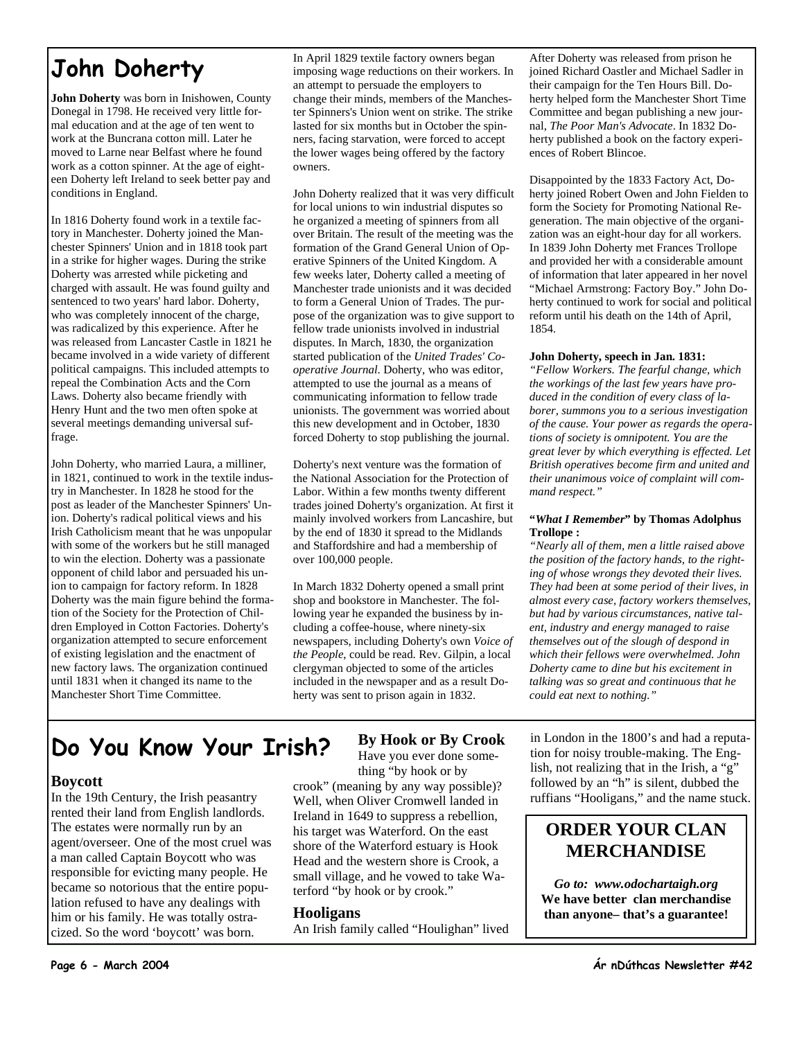## **John Doherty**

**John Doherty** was born in Inishowen, County Donegal in 1798. He received very little formal education and at the age of ten went to work at the Buncrana cotton mill. Later he moved to Larne near Belfast where he found work as a cotton spinner. At the age of eighteen Doherty left Ireland to seek better pay and conditions in England.

In 1816 Doherty found work in a textile factory in Manchester. Doherty joined the Manchester Spinners' Union and in 1818 took part in a strike for higher wages. During the strike Doherty was arrested while picketing and charged with assault. He was found guilty and sentenced to two years' hard labor. Doherty, who was completely innocent of the charge, was radicalized by this experience. After he was released from Lancaster Castle in 1821 he became involved in a wide variety of different political campaigns. This included attempts to repeal the Combination Acts and the Corn Laws. Doherty also became friendly with Henry Hunt and the two men often spoke at several meetings demanding universal suffrage.

John Doherty, who married Laura, a milliner, in 1821, continued to work in the textile industry in Manchester. In 1828 he stood for the post as leader of the Manchester Spinners' Union. Doherty's radical political views and his Irish Catholicism meant that he was unpopular with some of the workers but he still managed to win the election. Doherty was a passionate opponent of child labor and persuaded his union to campaign for factory reform. In 1828 Doherty was the main figure behind the formation of the Society for the Protection of Children Employed in Cotton Factories. Doherty's organization attempted to secure enforcement of existing legislation and the enactment of new factory laws. The organization continued until 1831 when it changed its name to the Manchester Short Time Committee.

In April 1829 textile factory owners began imposing wage reductions on their workers. In an attempt to persuade the employers to change their minds, members of the Manchester Spinners's Union went on strike. The strike lasted for six months but in October the spinners, facing starvation, were forced to accept the lower wages being offered by the factory owners.

John Doherty realized that it was very difficult for local unions to win industrial disputes so he organized a meeting of spinners from all over Britain. The result of the meeting was the formation of the Grand General Union of Operative Spinners of the United Kingdom. A few weeks later, Doherty called a meeting of Manchester trade unionists and it was decided to form a General Union of Trades. The purpose of the organization was to give support to fellow trade unionists involved in industrial disputes. In March, 1830, the organization started publication of the *United Trades' Cooperative Journal*. Doherty, who was editor, attempted to use the journal as a means of communicating information to fellow trade unionists. The government was worried about this new development and in October, 1830 forced Doherty to stop publishing the journal.

Doherty's next venture was the formation of the National Association for the Protection of Labor. Within a few months twenty different trades joined Doherty's organization. At first it mainly involved workers from Lancashire, but by the end of 1830 it spread to the Midlands and Staffordshire and had a membership of over 100,000 people.

In March 1832 Doherty opened a small print shop and bookstore in Manchester. The following year he expanded the business by including a coffee-house, where ninety-six newspapers, including Doherty's own *Voice of the People*, could be read. Rev. Gilpin, a local clergyman objected to some of the articles included in the newspaper and as a result Doherty was sent to prison again in 1832.

After Doherty was released from prison he joined Richard Oastler and Michael Sadler in their campaign for the Ten Hours Bill. Doherty helped form the Manchester Short Time Committee and began publishing a new journal, *The Poor Man's Advocate*. In 1832 Doherty published a book on the factory experiences of Robert Blincoe.

Disappointed by the 1833 Factory Act, Doherty joined Robert Owen and John Fielden to form the Society for Promoting National Regeneration. The main objective of the organization was an eight-hour day for all workers. In 1839 John Doherty met Frances Trollope and provided her with a considerable amount of information that later appeared in her novel "Michael Armstrong: Factory Boy." John Doherty continued to work for social and political reform until his death on the 14th of April, 1854.

#### **John Doherty, speech in Jan. 1831:**

*"Fellow Workers. The fearful change, which the workings of the last few years have produced in the condition of every class of laborer, summons you to a serious investigation of the cause. Your power as regards the operations of society is omnipotent. You are the great lever by which everything is effected. Let British operatives become firm and united and their unanimous voice of complaint will command respect."* 

#### **"***What I Remember***" by Thomas Adolphus Trollope :**

*"Nearly all of them, men a little raised above the position of the factory hands, to the righting of whose wrongs they devoted their lives. They had been at some period of their lives, in almost every case, factory workers themselves, but had by various circumstances, native talent, industry and energy managed to raise themselves out of the slough of despond in which their fellows were overwhelmed. John Doherty came to dine but his excitement in talking was so great and continuous that he could eat next to nothing."* 

## **Do You Know Your Irish?**

### **Boycott**

In the 19th Century, the Irish peasantry rented their land from English landlords. The estates were normally run by an agent/overseer. One of the most cruel was a man called Captain Boycott who was responsible for evicting many people. He became so notorious that the entire population refused to have any dealings with him or his family. He was totally ostracized. So the word 'boycott' was born.

**By Hook or By Crook** 

Have you ever done something "by hook or by

crook" (meaning by any way possible)? Well, when Oliver Cromwell landed in Ireland in 1649 to suppress a rebellion, his target was Waterford. On the east shore of the Waterford estuary is Hook Head and the western shore is Crook, a small village, and he vowed to take Waterford "by hook or by crook."

### **Hooligans**

An Irish family called "Houlighan" lived

in London in the 1800's and had a reputation for noisy trouble-making. The English, not realizing that in the Irish, a "g" followed by an "h" is silent, dubbed the ruffians "Hooligans," and the name stuck.

### **ORDER YOUR CLAN MERCHANDISE**

*Go to: www.odochartaigh.org*  **We have better clan merchandise than anyone– that's a guarantee!**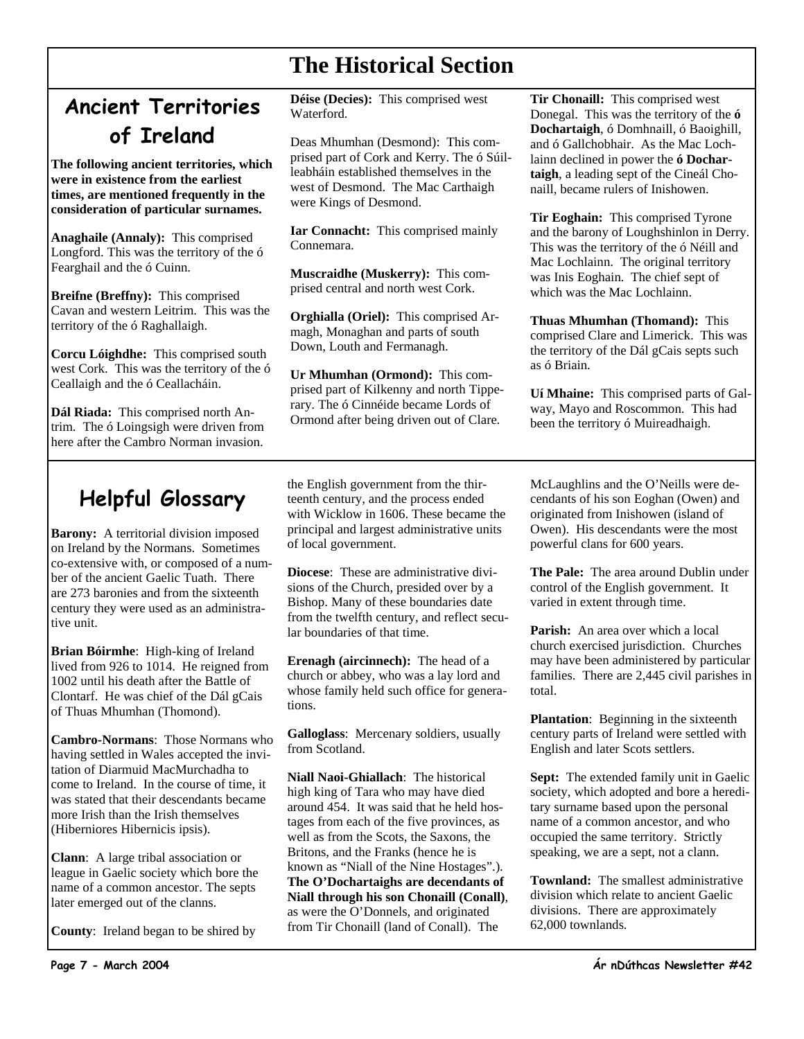### **The Historical Section**

## **Ancient Territories of Ireland**

**The following ancient territories, which were in existence from the earliest times, are mentioned frequently in the consideration of particular surnames.** 

**Anaghaile (Annaly):** This comprised Longford. This was the territory of the ó Fearghail and the ó Cuinn.

**Breifne (Breffny):** This comprised Cavan and western Leitrim. This was the territory of the ó Raghallaigh.

**Corcu Lóighdhe:** This comprised south west Cork. This was the territory of the ó Ceallaigh and the ó Ceallacháin.

**Dál Riada:** This comprised north Antrim. The ó Loingsigh were driven from here after the Cambro Norman invasion.

**Déise (Decies):** This comprised west Waterford.

Deas Mhumhan (Desmond): This comprised part of Cork and Kerry. The ó Súilleabháin established themselves in the west of Desmond. The Mac Carthaigh were Kings of Desmond.

**Iar Connacht:** This comprised mainly Connemara.

**Muscraidhe (Muskerry):** This comprised central and north west Cork.

**Orghialla (Oriel):** This comprised Armagh, Monaghan and parts of south Down, Louth and Fermanagh.

**Ur Mhumhan (Ormond):** This comprised part of Kilkenny and north Tipperary. The ó Cinnéide became Lords of Ormond after being driven out of Clare.

**Tir Chonaill:** This comprised west Donegal. This was the territory of the **ó Dochartaigh**, ó Domhnaill, ó Baoighill, and ó Gallchobhair. As the Mac Lochlainn declined in power the **ó Dochartaigh**, a leading sept of the Cineál Chonaill, became rulers of Inishowen.

**Tir Eoghain:** This comprised Tyrone and the barony of Loughshinlon in Derry. This was the territory of the ó Néill and Mac Lochlainn. The original territory was Inis Eoghain. The chief sept of which was the Mac Lochlainn.

**Thuas Mhumhan (Thomand):** This comprised Clare and Limerick. This was the territory of the Dál gCais septs such as ó Briain.

**Uí Mhaine:** This comprised parts of Galway, Mayo and Roscommon. This had been the territory ó Muireadhaigh.

## **Helpful Glossary**

**Barony:** A territorial division imposed on Ireland by the Normans. Sometimes co-extensive with, or composed of a number of the ancient Gaelic Tuath. There are 273 baronies and from the sixteenth century they were used as an administrative unit.

**Brian Bóirmhe**: High-king of Ireland lived from 926 to 1014. He reigned from 1002 until his death after the Battle of Clontarf. He was chief of the Dál gCais of Thuas Mhumhan (Thomond).

**Cambro-Normans**: Those Normans who having settled in Wales accepted the invitation of Diarmuid MacMurchadha to come to Ireland. In the course of time, it was stated that their descendants became more Irish than the Irish themselves (Hiberniores Hibernicis ipsis).

**Clann**: A large tribal association or league in Gaelic society which bore the name of a common ancestor. The septs later emerged out of the clanns.

**County**: Ireland began to be shired by

the English government from the thirteenth century, and the process ended with Wicklow in 1606. These became the principal and largest administrative units of local government.

**Diocese**: These are administrative divisions of the Church, presided over by a Bishop. Many of these boundaries date from the twelfth century, and reflect secular boundaries of that time.

**Erenagh (aircinnech):** The head of a church or abbey, who was a lay lord and whose family held such office for generations.

**Galloglass**: Mercenary soldiers, usually from Scotland.

**Niall Naoi-Ghiallach**: The historical high king of Tara who may have died around 454. It was said that he held hostages from each of the five provinces, as well as from the Scots, the Saxons, the Britons, and the Franks (hence he is known as "Niall of the Nine Hostages".). **The O'Dochartaighs are decendants of Niall through his son Chonaill (Conall)**, as were the O'Donnels, and originated from Tir Chonaill (land of Conall). The

McLaughlins and the O'Neills were decendants of his son Eoghan (Owen) and originated from Inishowen (island of Owen). His descendants were the most powerful clans for 600 years.

**The Pale:** The area around Dublin under control of the English government. It varied in extent through time.

Parish: An area over which a local church exercised jurisdiction. Churches may have been administered by particular families. There are 2,445 civil parishes in total.

**Plantation:** Beginning in the sixteenth century parts of Ireland were settled with English and later Scots settlers.

**Sept:** The extended family unit in Gaelic society, which adopted and bore a hereditary surname based upon the personal name of a common ancestor, and who occupied the same territory. Strictly speaking, we are a sept, not a clann.

**Townland:** The smallest administrative division which relate to ancient Gaelic divisions. There are approximately 62,000 townlands.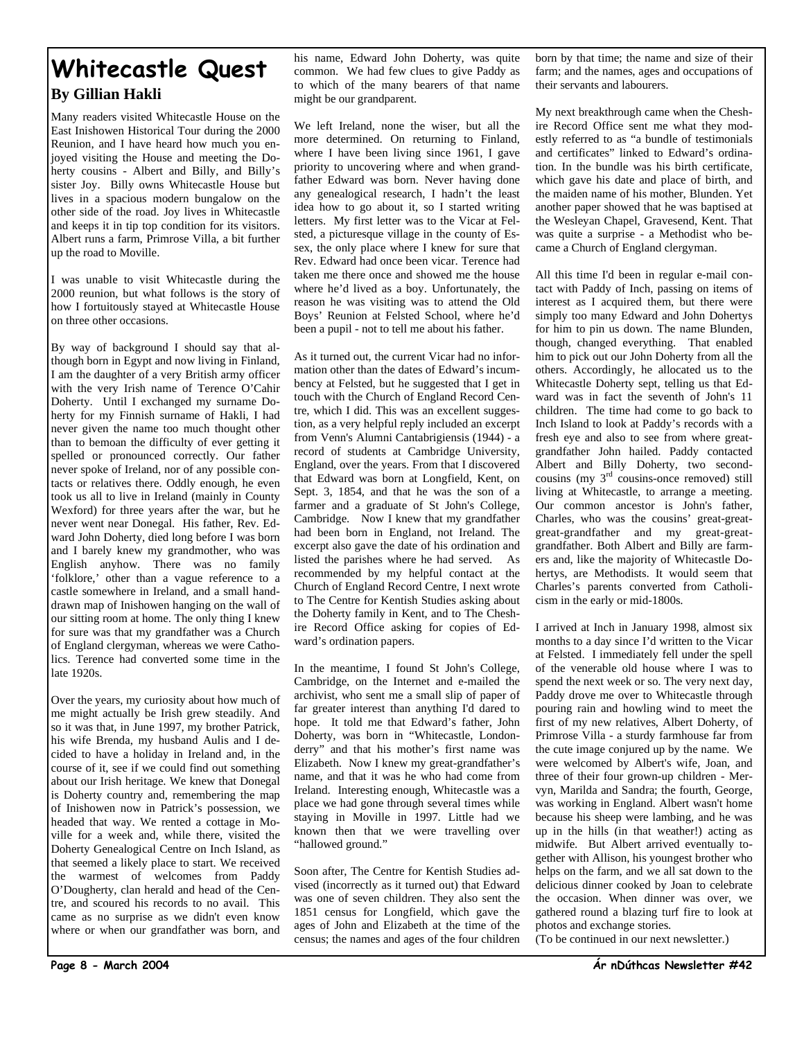### **Whitecastle Quest By Gillian Hakli**

Many readers visited Whitecastle House on the East Inishowen Historical Tour during the 2000 Reunion, and I have heard how much you enjoyed visiting the House and meeting the Doherty cousins - Albert and Billy, and Billy's sister Joy. Billy owns Whitecastle House but lives in a spacious modern bungalow on the other side of the road. Joy lives in Whitecastle and keeps it in tip top condition for its visitors. Albert runs a farm, Primrose Villa, a bit further up the road to Moville.

I was unable to visit Whitecastle during the 2000 reunion, but what follows is the story of how I fortuitously stayed at Whitecastle House on three other occasions.

By way of background I should say that although born in Egypt and now living in Finland, I am the daughter of a very British army officer with the very Irish name of Terence O'Cahir Doherty. Until I exchanged my surname Doherty for my Finnish surname of Hakli, I had never given the name too much thought other than to bemoan the difficulty of ever getting it spelled or pronounced correctly. Our father never spoke of Ireland, nor of any possible contacts or relatives there. Oddly enough, he even took us all to live in Ireland (mainly in County Wexford) for three years after the war, but he never went near Donegal. His father, Rev. Edward John Doherty, died long before I was born and I barely knew my grandmother, who was English anyhow. There was no family 'folklore,' other than a vague reference to a castle somewhere in Ireland, and a small handdrawn map of Inishowen hanging on the wall of our sitting room at home. The only thing I knew for sure was that my grandfather was a Church of England clergyman, whereas we were Catholics. Terence had converted some time in the late 1920s.

Over the years, my curiosity about how much of me might actually be Irish grew steadily. And so it was that, in June 1997, my brother Patrick, his wife Brenda, my husband Aulis and I decided to have a holiday in Ireland and, in the course of it, see if we could find out something about our Irish heritage. We knew that Donegal is Doherty country and, remembering the map of Inishowen now in Patrick's possession, we headed that way. We rented a cottage in Moville for a week and, while there, visited the Doherty Genealogical Centre on Inch Island, as that seemed a likely place to start. We received the warmest of welcomes from Paddy O'Dougherty, clan herald and head of the Centre, and scoured his records to no avail. This came as no surprise as we didn't even know where or when our grandfather was born, and

his name, Edward John Doherty, was quite common. We had few clues to give Paddy as to which of the many bearers of that name might be our grandparent.

We left Ireland, none the wiser, but all the more determined. On returning to Finland, where I have been living since 1961, I gave priority to uncovering where and when grandfather Edward was born. Never having done any genealogical research, I hadn't the least idea how to go about it, so I started writing letters. My first letter was to the Vicar at Felsted, a picturesque village in the county of Essex, the only place where I knew for sure that Rev. Edward had once been vicar. Terence had taken me there once and showed me the house where he'd lived as a boy. Unfortunately, the reason he was visiting was to attend the Old Boys' Reunion at Felsted School, where he'd been a pupil - not to tell me about his father.

As it turned out, the current Vicar had no information other than the dates of Edward's incumbency at Felsted, but he suggested that I get in touch with the Church of England Record Centre, which I did. This was an excellent suggestion, as a very helpful reply included an excerpt from Venn's Alumni Cantabrigiensis (1944) - a record of students at Cambridge University, England, over the years. From that I discovered that Edward was born at Longfield, Kent, on Sept. 3, 1854, and that he was the son of a farmer and a graduate of St John's College, Cambridge. Now I knew that my grandfather had been born in England, not Ireland. The excerpt also gave the date of his ordination and listed the parishes where he had served. As recommended by my helpful contact at the Church of England Record Centre, I next wrote to The Centre for Kentish Studies asking about the Doherty family in Kent, and to The Cheshire Record Office asking for copies of Edward's ordination papers.

In the meantime, I found St John's College, Cambridge, on the Internet and e-mailed the archivist, who sent me a small slip of paper of far greater interest than anything I'd dared to hope. It told me that Edward's father, John Doherty, was born in "Whitecastle, Londonderry" and that his mother's first name was Elizabeth. Now I knew my great-grandfather's name, and that it was he who had come from Ireland. Interesting enough, Whitecastle was a place we had gone through several times while staying in Moville in 1997. Little had we known then that we were travelling over "hallowed ground."

Soon after, The Centre for Kentish Studies advised (incorrectly as it turned out) that Edward was one of seven children. They also sent the 1851 census for Longfield, which gave the ages of John and Elizabeth at the time of the census; the names and ages of the four children

born by that time; the name and size of their farm; and the names, ages and occupations of their servants and labourers.

My next breakthrough came when the Cheshire Record Office sent me what they modestly referred to as "a bundle of testimonials and certificates" linked to Edward's ordination. In the bundle was his birth certificate, which gave his date and place of birth, and the maiden name of his mother, Blunden. Yet another paper showed that he was baptised at the Wesleyan Chapel, Gravesend, Kent. That was quite a surprise - a Methodist who became a Church of England clergyman.

All this time I'd been in regular e-mail contact with Paddy of Inch, passing on items of interest as I acquired them, but there were simply too many Edward and John Dohertys for him to pin us down. The name Blunden, though, changed everything. That enabled him to pick out our John Doherty from all the others. Accordingly, he allocated us to the Whitecastle Doherty sept, telling us that Edward was in fact the seventh of John's 11 children. The time had come to go back to Inch Island to look at Paddy's records with a fresh eye and also to see from where greatgrandfather John hailed. Paddy contacted Albert and Billy Doherty, two secondcousins (my  $3<sup>rd</sup>$  cousins-once removed) still living at Whitecastle, to arrange a meeting. Our common ancestor is John's father, Charles, who was the cousins' great-greatgreat-grandfather and my great-greatgrandfather. Both Albert and Billy are farmers and, like the majority of Whitecastle Dohertys, are Methodists. It would seem that Charles's parents converted from Catholicism in the early or mid-1800s.

I arrived at Inch in January 1998, almost six months to a day since I'd written to the Vicar at Felsted. I immediately fell under the spell of the venerable old house where I was to spend the next week or so. The very next day, Paddy drove me over to Whitecastle through pouring rain and howling wind to meet the first of my new relatives, Albert Doherty, of Primrose Villa - a sturdy farmhouse far from the cute image conjured up by the name. We were welcomed by Albert's wife, Joan, and three of their four grown-up children - Mervyn, Marilda and Sandra; the fourth, George, was working in England. Albert wasn't home because his sheep were lambing, and he was up in the hills (in that weather!) acting as midwife. But Albert arrived eventually together with Allison, his youngest brother who helps on the farm, and we all sat down to the delicious dinner cooked by Joan to celebrate the occasion. When dinner was over, we gathered round a blazing turf fire to look at photos and exchange stories.

(To be continued in our next newsletter.)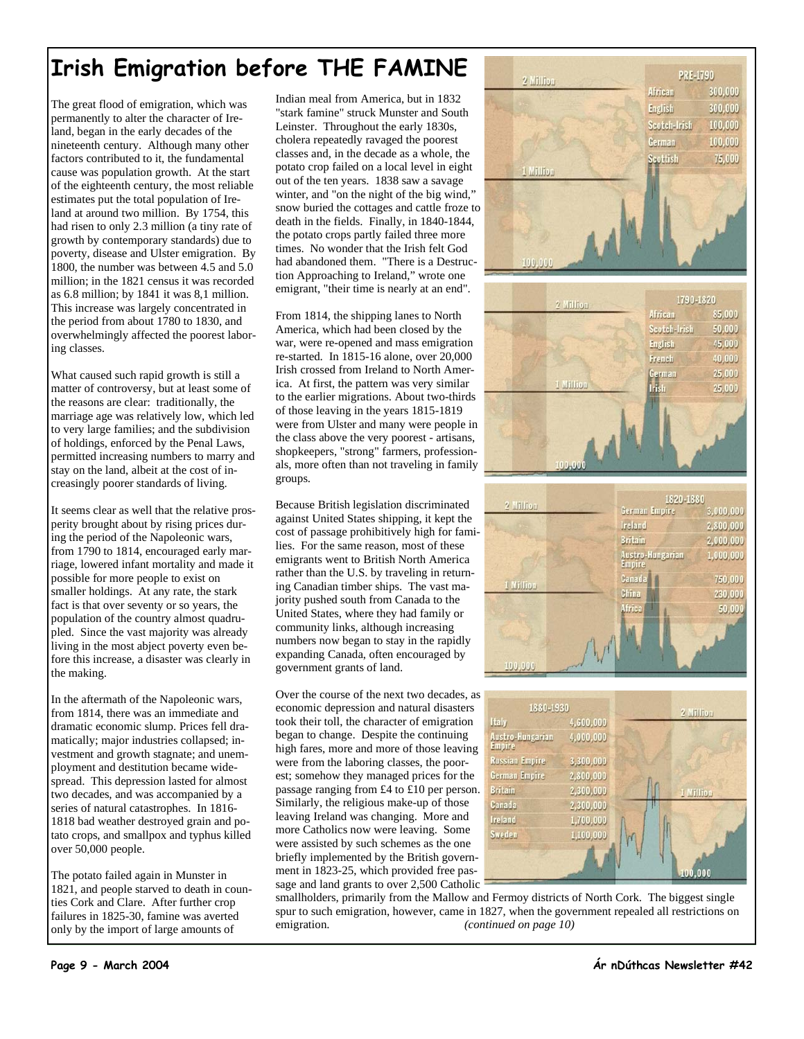## **Irish Emigration before THE FAMINE**

The great flood of emigration, which was permanently to alter the character of Ireland, began in the early decades of the nineteenth century. Although many other factors contributed to it, the fundamental cause was population growth. At the start of the eighteenth century, the most reliable estimates put the total population of Ireland at around two million. By 1754, this had risen to only 2.3 million (a tiny rate of growth by contemporary standards) due to poverty, disease and Ulster emigration. By 1800, the number was between 4.5 and 5.0 million; in the 1821 census it was recorded as 6.8 million; by 1841 it was 8,1 million. This increase was largely concentrated in the period from about 1780 to 1830, and overwhelmingly affected the poorest laboring classes.

What caused such rapid growth is still a matter of controversy, but at least some of the reasons are clear: traditionally, the marriage age was relatively low, which led to very large families; and the subdivision of holdings, enforced by the Penal Laws, permitted increasing numbers to marry and stay on the land, albeit at the cost of increasingly poorer standards of living.

It seems clear as well that the relative prosperity brought about by rising prices during the period of the Napoleonic wars, from 1790 to 1814, encouraged early marriage, lowered infant mortality and made it possible for more people to exist on smaller holdings. At any rate, the stark fact is that over seventy or so years, the population of the country almost quadrupled. Since the vast majority was already living in the most abject poverty even before this increase, a disaster was clearly in the making.

In the aftermath of the Napoleonic wars, from 1814, there was an immediate and dramatic economic slump. Prices fell dramatically; major industries collapsed; investment and growth stagnate; and unemployment and destitution became widespread. This depression lasted for almost two decades, and was accompanied by a series of natural catastrophes. In 1816- 1818 bad weather destroyed grain and potato crops, and smallpox and typhus killed over 50,000 people.

The potato failed again in Munster in 1821, and people starved to death in counties Cork and Clare. After further crop failures in 1825-30, famine was averted only by the import of large amounts of

Indian meal from America, but in 1832 "stark famine" struck Munster and South Leinster. Throughout the early 1830s, cholera repeatedly ravaged the poorest classes and, in the decade as a whole, the potato crop failed on a local level in eight out of the ten years. 1838 saw a savage winter, and "on the night of the big wind," snow buried the cottages and cattle froze to death in the fields. Finally, in 1840-1844, the potato crops partly failed three more times. No wonder that the Irish felt God had abandoned them. "There is a Destruction Approaching to Ireland," wrote one emigrant, "their time is nearly at an end".

From 1814, the shipping lanes to North America, which had been closed by the war, were re-opened and mass emigration re-started. In 1815-16 alone, over 20,000 Irish crossed from Ireland to North America. At first, the pattern was very similar to the earlier migrations. About two-thirds of those leaving in the years 1815-1819 were from Ulster and many were people in the class above the very poorest - artisans, shopkeepers, "strong" farmers, professionals, more often than not traveling in family groups.

Because British legislation discriminated against United States shipping, it kept the cost of passage prohibitively high for families. For the same reason, most of these emigrants went to British North America rather than the U.S. by traveling in returning Canadian timber ships. The vast majority pushed south from Canada to the United States, where they had family or community links, although increasing numbers now began to stay in the rapidly expanding Canada, often encouraged by government grants of land.

Over the course of the next two decades, as economic depression and natural disasters took their toll, the character of emigration began to change. Despite the continuing high fares, more and more of those leaving were from the laboring classes, the poorest; somehow they managed prices for the passage ranging from £4 to £10 per person. Similarly, the religious make-up of those leaving Ireland was changing. More and more Catholics now were leaving. Some were assisted by such schemes as the one briefly implemented by the British government in 1823-25, which provided free passage and land grants to over 2,500 Catholic



smallholders, primarily from the Mallow and Fermoy districts of North Cork. The biggest single spur to such emigration, however, came in 1827, when the government repealed all restrictions on emigration. *(continued on page 10)*

**PRE-1790** 

1790-1820

300,000

300,000

100,000

100,000

75,000

85,000

50,000

45,000

40,000 25,000

25,000

3,000,000

2,800,000

000,000

000,000

750.000

230,000  $50,00$ 

African

**English** 

German

Scottish

African

English

French

Scotch-Irish

1820-188

German Empire

**Ireland** 

Britain

Austro

Canad

China

Scotch-Irish

2 Million

Millio

2 Million

Millio

2 Millio

**Million**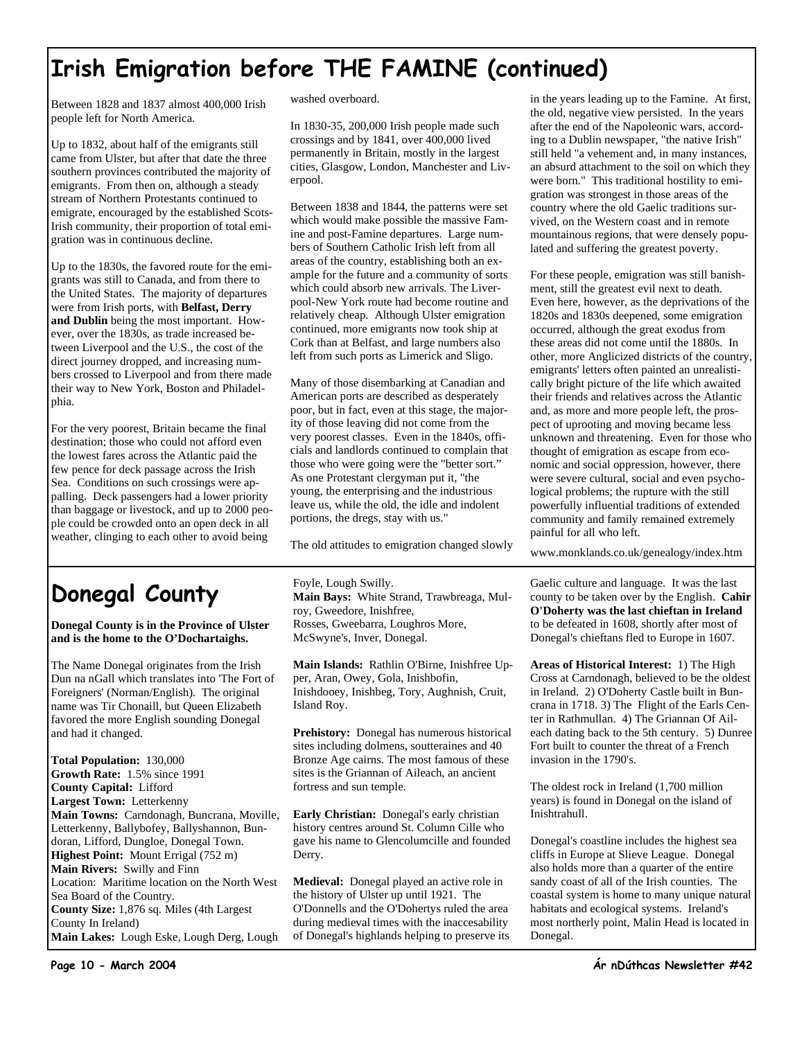## **Irish Emigration before THE FAMINE (continued)**

Between 1828 and 1837 almost 400,000 Irish people left for North America.

Up to 1832, about half of the emigrants still came from Ulster, but after that date the three southern provinces contributed the majority of emigrants. From then on, although a steady stream of Northern Protestants continued to emigrate, encouraged by the established Scots-Irish community, their proportion of total emigration was in continuous decline.

Up to the 1830s, the favored route for the emigrants was still to Canada, and from there to the United States. The majority of departures were from Irish ports, with **Belfast, Derry and Dublin** being the most important. However, over the 1830s, as trade increased between Liverpool and the U.S., the cost of the direct journey dropped, and increasing numbers crossed to Liverpool and from there made their way to New York, Boston and Philadelphia.

For the very poorest, Britain became the final destination; those who could not afford even the lowest fares across the Atlantic paid the few pence for deck passage across the Irish Sea. Conditions on such crossings were appalling. Deck passengers had a lower priority than baggage or livestock, and up to 2000 people could be crowded onto an open deck in all weather, clinging to each other to avoid being

#### washed overboard.

In 1830-35, 200,000 Irish people made such crossings and by 1841, over 400,000 lived permanently in Britain, mostly in the largest cities, Glasgow, London, Manchester and Liverpool.

Between 1838 and 1844, the patterns were set which would make possible the massive Famine and post-Famine departures. Large numbers of Southern Catholic Irish left from all areas of the country, establishing both an example for the future and a community of sorts which could absorb new arrivals. The Liverpool-New York route had become routine and relatively cheap. Although Ulster emigration continued, more emigrants now took ship at Cork than at Belfast, and large numbers also left from such ports as Limerick and Sligo.

Many of those disembarking at Canadian and American ports are described as desperately poor, but in fact, even at this stage, the majority of those leaving did not come from the very poorest classes. Even in the 1840s, officials and landlords continued to complain that those who were going were the "better sort." As one Protestant clergyman put it, "the young, the enterprising and the industrious leave us, while the old, the idle and indolent portions, the dregs, stay with us."

The old attitudes to emigration changed slowly

### **Donegal County**

**Donegal County is in the Province of Ulster and is the home to the O'Dochartaighs.**

The Name Donegal originates from the Irish Dun na nGall which translates into 'The Fort of Foreigners' (Norman/English). The original name was Tir Chonaill, but Queen Elizabeth favored the more English sounding Donegal and had it changed.

**Total Population:** 130,000 **Growth Rate:** 1.5% since 1991 **County Capital:** Lifford **Largest Town:** Letterkenny **Main Towns:** Carndonagh, Buncrana, Moville, Letterkenny, Ballybofey, Ballyshannon, Bundoran, Lifford, Dungloe, Donegal Town. **Highest Point:** Mount Errigal (752 m) **Main Rivers:** Swilly and Finn Location: Maritime location on the North West Sea Board of the Country. **County Size:** 1,876 sq. Miles (4th Largest County In Ireland) **Main Lakes:** Lough Eske, Lough Derg, Lough

Foyle, Lough Swilly. **Main Bays:** White Strand, Trawbreaga, Mulroy, Gweedore, Inishfree, Rosses, Gweebarra, Loughros More, McSwyne's, Inver, Donegal.

**Main Islands:** Rathlin O'Birne, Inishfree Upper, Aran, Owey, Gola, Inishbofin, Inishdooey, Inishbeg, Tory, Aughnish, Cruit, Island Roy.

**Prehistory:** Donegal has numerous historical sites including dolmens, soutteraines and 40 Bronze Age cairns. The most famous of these sites is the Griannan of Aileach, an ancient fortress and sun temple.

**Early Christian:** Donegal's early christian history centres around St. Column Cille who gave his name to Glencolumcille and founded Derry.

**Medieval:** Donegal played an active role in the history of Ulster up until 1921. The O'Donnells and the O'Dohertys ruled the area during medieval times with the inaccesability of Donegal's highlands helping to preserve its in the years leading up to the Famine. At first, the old, negative view persisted. In the years after the end of the Napoleonic wars, according to a Dublin newspaper, "the native Irish" still held "a vehement and, in many instances, an absurd attachment to the soil on which they were born." This traditional hostility to emigration was strongest in those areas of the country where the old Gaelic traditions survived, on the Western coast and in remote mountainous regions, that were densely populated and suffering the greatest poverty.

For these people, emigration was still banishment, still the greatest evil next to death. Even here, however, as the deprivations of the 1820s and 1830s deepened, some emigration occurred, although the great exodus from these areas did not come until the 1880s. In other, more Anglicized districts of the country, emigrants' letters often painted an unrealistically bright picture of the life which awaited their friends and relatives across the Atlantic and, as more and more people left, the prospect of uprooting and moving became less unknown and threatening. Even for those who thought of emigration as escape from economic and social oppression, however, there were severe cultural, social and even psychological problems; the rupture with the still powerfully influential traditions of extended community and family remained extremely painful for all who left.

www.monklands.co.uk/genealogy/index.htm

Gaelic culture and language. It was the last county to be taken over by the English. **Cahir O'Doherty was the last chieftan in Ireland**  to be defeated in 1608, shortly after most of Donegal's chieftans fled to Europe in 1607.

**Areas of Historical Interest:** 1) The High Cross at Carndonagh, believed to be the oldest in Ireland. 2) O'Doherty Castle built in Buncrana in 1718. 3) The Flight of the Earls Center in Rathmullan. 4) The Griannan Of Aileach dating back to the 5th century. 5) Dunree Fort built to counter the threat of a French invasion in the 1790's.

The oldest rock in Ireland (1,700 million years) is found in Donegal on the island of Inishtrahull.

Donegal's coastline includes the highest sea cliffs in Europe at Slieve League. Donegal also holds more than a quarter of the entire sandy coast of all of the Irish counties. The coastal system is home to many unique natural habitats and ecological systems. Ireland's most northerly point, Malin Head is located in Donegal.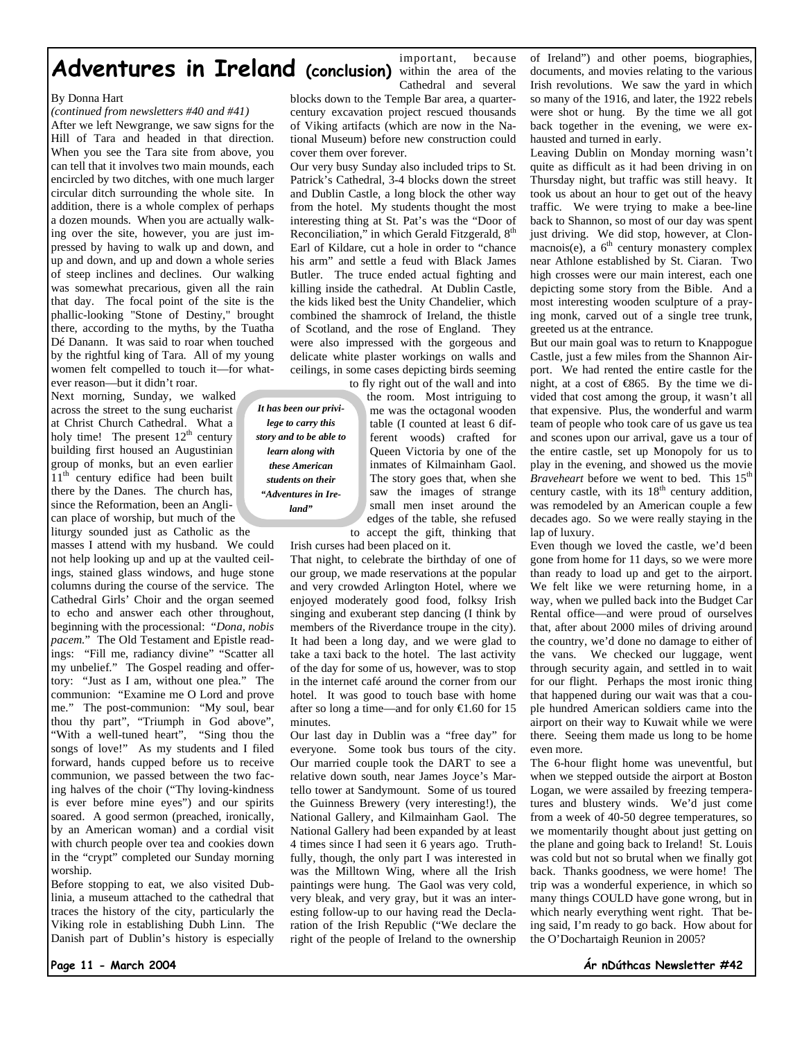## Adventures in Ireland (conclusion) within the area of the

#### By Donna Hart

#### *(continued from newsletters #40 and #41)*

After we left Newgrange, we saw signs for the Hill of Tara and headed in that direction. When you see the Tara site from above, you can tell that it involves two main mounds, each encircled by two ditches, with one much larger circular ditch surrounding the whole site. In addition, there is a whole complex of perhaps a dozen mounds. When you are actually walking over the site, however, you are just impressed by having to walk up and down, and up and down, and up and down a whole series of steep inclines and declines. Our walking was somewhat precarious, given all the rain that day. The focal point of the site is the phallic-looking "Stone of Destiny," brought there, according to the myths, by the Tuatha Dé Danann. It was said to roar when touched by the rightful king of Tara. All of my young women felt compelled to touch it—for whatever reason—but it didn't roar.

Next morning, Sunday, we walked across the street to the sung eucharist at Christ Church Cathedral. What a holy time! The present  $12<sup>th</sup>$  century building first housed an Augustinian group of monks, but an even earlier  $11<sup>th</sup>$  century edifice had been built there by the Danes. The church has, since the Reformation, been an Anglican place of worship, but much of the

liturgy sounded just as Catholic as the masses I attend with my husband. We could not help looking up and up at the vaulted ceilings, stained glass windows, and huge stone columns during the course of the service. The Cathedral Girls' Choir and the organ seemed to echo and answer each other throughout, beginning with the processional: "*Dona, nobis pacem.*" The Old Testament and Epistle readings:"Fill me, radiancy divine" "Scatter all my unbelief." The Gospel reading and offertory: "Just as I am, without one plea." The communion: "Examine me O Lord and prove me." The post-communion: "My soul, bear thou thy part", "Triumph in God above", "With a well-tuned heart", "Sing thou the songs of love!" As my students and I filed forward, hands cupped before us to receive communion, we passed between the two facing halves of the choir ("Thy loving-kindness is ever before mine eyes") and our spirits soared. A good sermon (preached, ironically, by an American woman) and a cordial visit with church people over tea and cookies down in the "crypt" completed our Sunday morning worship.

Before stopping to eat, we also visited Dublinia, a museum attached to the cathedral that traces the history of the city, particularly the Viking role in establishing Dubh Linn. The Danish part of Dublin's history is especially

**Page 11 - March 2004** 

important, because Cathedral and several

blocks down to the Temple Bar area, a quartercentury excavation project rescued thousands of Viking artifacts (which are now in the National Museum) before new construction could cover them over forever.

Our very busy Sunday also included trips to St. Patrick's Cathedral, 3-4 blocks down the street and Dublin Castle, a long block the other way from the hotel. My students thought the most interesting thing at St. Pat's was the "Door of Reconciliation," in which Gerald Fitzgerald,  $8<sup>th</sup>$ Earl of Kildare, cut a hole in order to "chance his arm" and settle a feud with Black James Butler. The truce ended actual fighting and killing inside the cathedral. At Dublin Castle, the kids liked best the Unity Chandelier, which combined the shamrock of Ireland, the thistle of Scotland, and the rose of England. They were also impressed with the gorgeous and delicate white plaster workings on walls and ceilings, in some cases depicting birds seeming to fly right out of the wall and into

the room. Most intriguing to me was the octagonal wooden table (I counted at least 6 different woods) crafted for Queen Victoria by one of the inmates of Kilmainham Gaol. The story goes that, when she saw the images of strange small men inset around the edges of the table, she refused *It has been our privilege to carry this story and to be able to learn along with these American students on their "Adventures in Ire-*

*land"*

to accept the gift, thinking that Irish curses had been placed on it.

That night, to celebrate the birthday of one of our group, we made reservations at the popular and very crowded Arlington Hotel, where we enjoyed moderately good food, folksy Irish singing and exuberant step dancing (I think by members of the Riverdance troupe in the city). It had been a long day, and we were glad to take a taxi back to the hotel. The last activity of the day for some of us, however, was to stop in the internet café around the corner from our hotel. It was good to touch base with home after so long a time—and for only €1.60 for 15 minutes.

Our last day in Dublin was a "free day" for everyone. Some took bus tours of the city. Our married couple took the DART to see a relative down south, near James Joyce's Martello tower at Sandymount. Some of us toured the Guinness Brewery (very interesting!), the National Gallery, and Kilmainham Gaol. The National Gallery had been expanded by at least 4 times since I had seen it 6 years ago. Truthfully, though, the only part I was interested in was the Milltown Wing, where all the Irish paintings were hung. The Gaol was very cold, very bleak, and very gray, but it was an interesting follow-up to our having read the Declaration of the Irish Republic ("We declare the right of the people of Ireland to the ownership

of Ireland") and other poems, biographies, documents, and movies relating to the various Irish revolutions. We saw the yard in which so many of the 1916, and later, the 1922 rebels were shot or hung. By the time we all got back together in the evening, we were exhausted and turned in early.

Leaving Dublin on Monday morning wasn't quite as difficult as it had been driving in on Thursday night, but traffic was still heavy. It took us about an hour to get out of the heavy traffic. We were trying to make a bee-line back to Shannon, so most of our day was spent just driving. We did stop, however, at Clonmacnois(e), a  $6<sup>th</sup>$  century monastery complex near Athlone established by St. Ciaran. Two high crosses were our main interest, each one depicting some story from the Bible. And a most interesting wooden sculpture of a praying monk, carved out of a single tree trunk, greeted us at the entrance.

But our main goal was to return to Knappogue Castle, just a few miles from the Shannon Airport. We had rented the entire castle for the night, at a cost of €865. By the time we divided that cost among the group, it wasn't all that expensive. Plus, the wonderful and warm team of people who took care of us gave us tea and scones upon our arrival, gave us a tour of the entire castle, set up Monopoly for us to play in the evening, and showed us the movie *Braveheart* before we went to bed. This 15<sup>th</sup> century castle, with its  $18<sup>th</sup>$  century addition, was remodeled by an American couple a few decades ago. So we were really staying in the lap of luxury.

Even though we loved the castle, we'd been gone from home for 11 days, so we were more than ready to load up and get to the airport. We felt like we were returning home, in a way, when we pulled back into the Budget Car Rental office—and were proud of ourselves that, after about 2000 miles of driving around the country, we'd done no damage to either of the vans. We checked our luggage, went through security again, and settled in to wait for our flight. Perhaps the most ironic thing that happened during our wait was that a couple hundred American soldiers came into the airport on their way to Kuwait while we were there. Seeing them made us long to be home even more.

The 6-hour flight home was uneventful, but when we stepped outside the airport at Boston Logan, we were assailed by freezing temperatures and blustery winds. We'd just come from a week of 40-50 degree temperatures, so we momentarily thought about just getting on the plane and going back to Ireland! St. Louis was cold but not so brutal when we finally got back. Thanks goodness, we were home! The trip was a wonderful experience, in which so many things COULD have gone wrong, but in which nearly everything went right. That being said, I'm ready to go back. How about for the O'Dochartaigh Reunion in 2005?